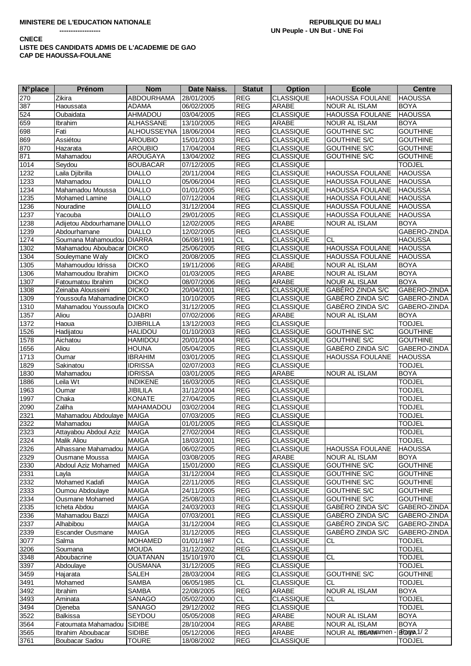## **CNECE**

## LISTE DES CANDIDATS ADMIS DE L'ACADEMIE DE GAO CAP DE HAOUSSA-FOULANE

| <b>N°</b> place | Prénom                             | <b>Nom</b>                     | Date Naiss.              | <b>Statut</b>            | <b>Option</b>                        | <b>Ecole</b>                               | <b>Centre</b>                      |
|-----------------|------------------------------------|--------------------------------|--------------------------|--------------------------|--------------------------------------|--------------------------------------------|------------------------------------|
| 270             | Zikira                             | <b>ABDOURHAMA</b>              | 28/01/2005               | <b>REG</b>               | <b>CLASSIQUE</b>                     | <b>HAOUSSA FOULANE</b>                     | <b>HAOUSSA</b>                     |
| 387             | Haoussata                          | <b>ADAMA</b>                   | 06/02/2005               | <b>REG</b>               | ARABE                                | <b>NOUR AL ISLAM</b>                       | <b>BOYA</b>                        |
| 524             | Oubaidata                          | AHMADOU                        | 03/04/2005               | <b>REG</b>               | <b>CLASSIQUE</b>                     | <b>HAOUSSA FOULANE</b>                     | <b>HAOUSSA</b>                     |
| 659             | Ibrahim                            | ALHASSANE                      | 13/10/2005               | <b>REG</b>               | ARABE                                | NOUR AL ISLAM                              | <b>BOYA</b>                        |
| 698             | Fati                               | <b>ALHOUSSEYNA</b>             | 18/06/2004               | <b>REG</b>               | <b>CLASSIQUE</b>                     | <b>GOUTHINE S/C</b>                        | <b>GOUTHINE</b>                    |
| 869             | Assiétou                           | <b>AROUBIO</b>                 | 15/01/2003               | <b>REG</b>               | <b>CLASSIQUE</b>                     | <b>GOUTHINE S/C</b>                        | <b>GOUTHINE</b>                    |
| 870             | Hazarata                           | <b>AROUBIO</b>                 | 17/04/2004               | <b>REG</b>               | <b>CLASSIQUE</b>                     | <b>GOUTHINE S/C</b>                        | <b>GOUTHINE</b>                    |
| 871             | Mahamadou                          | AROUGAYA                       | 13/04/2002               | <b>REG</b>               | <b>CLASSIQUE</b>                     | <b>GOUTHINE S/C</b>                        | <b>GOUTHINE</b>                    |
| 1014            | Seydou                             | <b>BOUBACAR</b>                | 07/12/2005               | <b>REG</b>               | <b>CLASSIQUE</b>                     |                                            | <b>TODJEL</b>                      |
| 1232            | Laila Djibrilla                    | <b>DIALLO</b>                  | 20/11/2004<br>05/06/2004 | <b>REG</b>               | <b>CLASSIQUE</b>                     | HAOUSSA FOULANE                            | <b>HAOUSSA</b>                     |
| 1233            | Mahamadou<br>Mahamadou Moussa      | <b>DIALLO</b>                  |                          | <b>REG</b>               | <b>CLASSIQUE</b>                     | <b>HAOUSSA FOULANE</b>                     | <b>HAOUSSA</b>                     |
| 1234<br>1235    | Mohamed Lamine                     | <b>DIALLO</b><br><b>DIALLO</b> | 01/01/2005<br>07/12/2004 | <b>REG</b><br><b>REG</b> | <b>CLASSIQUE</b><br>CLASSIQUE        | <b>HAOUSSA FOULANE</b><br>HAOUSSA FOULANE  | <b>HAOUSSA</b><br><b>HAOUSSA</b>   |
| 1236            | Nouradine                          | <b>DIALLO</b>                  | 31/12/2004               | <b>REG</b>               | <b>CLASSIQUE</b>                     | <b>HAOUSSA FOULANE</b>                     | <b>HAOUSSA</b>                     |
| 1237            | Yacouba                            | <b>DIALLO</b>                  | 29/01/2005               | <b>REG</b>               | <b>CLASSIQUE</b>                     | <b>HAOUSSA FOULANE</b>                     | <b>HAOUSSA</b>                     |
| 1238            | Adijetou Abdourhamane DIALLO       |                                | 12/02/2005               | <b>REG</b>               | ARABE                                | <b>NOUR AL ISLAM</b>                       | <b>BOYA</b>                        |
| 1239            | Abdourhamane                       | <b>DIALLO</b>                  | 12/02/2005               | <b>REG</b>               | CLASSIQUE                            |                                            | GABERO-ZINDA                       |
| 1274            | Soumana Mahamoudou                 | <b>DIARRA</b>                  | 06/08/1991               | <b>CL</b>                | <b>CLASSIQUE</b>                     | <b>CL</b>                                  | <b>HAOUSSA</b>                     |
| 1302            | Mahamadou Aboubacar                | <b>DICKO</b>                   | 25/06/2005               | <b>REG</b>               | <b>CLASSIQUE</b>                     | <b>HAOUSSA FOULANE</b>                     | <b>HAOUSSA</b>                     |
| 1304            | Souleymane Waly                    | <b>DICKO</b>                   | 20/08/2005               | <b>REG</b>               | <b>CLASSIQUE</b>                     | HAOUSSA FOULANE                            | <b>HAOUSSA</b>                     |
| 1305            | Mahamoudou Idrissa                 | <b>DICKO</b>                   | 19/11/2006               | <b>REG</b>               | ARABE                                | NOUR AL ISLAM                              | <b>BOYA</b>                        |
| 1306            | Mahamoudou Ibrahim                 | <b>DICKO</b>                   | 01/03/2005               | <b>REG</b>               | ARABE                                | <b>NOUR AL ISLAM</b>                       | <b>BOYA</b>                        |
| 1307            | Fatoumatou Ibrahim                 | <b>DICKO</b>                   | 08/07/2006               | <b>REG</b>               | ARABE                                | <b>NOUR AL ISLAM</b>                       | <b>BOYA</b>                        |
| 1308            | Zeinaba Alousseini                 | <b>DICKO</b>                   | 20/04/2001               | <b>REG</b>               | <b>CLASSIQUE</b>                     | GABÉRO ZINDA S/C                           | GABERO-ZINDA                       |
| 1309            | Youssoufa Mahamadine DICKO         |                                | 10/10/2005               | REG                      | <b>CLASSIQUE</b>                     | GABÉRO ZINDA S/C                           | GABERO-ZINDA                       |
| 1310            | Mahamadou Youssoufa DICKO          |                                | 31/12/2005               | REG                      | <b>CLASSIQUE</b>                     | GABÉRO ZINDA S/C                           | GABERO-ZINDA                       |
| 1357            | Aliou                              | <b>DJABRI</b>                  | 07/02/2006               | <b>REG</b>               | ARABE                                | NOUR AL ISLAM                              | <b>BOYA</b>                        |
| 1372            | Haoua                              | <b>DJIBRILLA</b>               | 13/12/2003               | <b>REG</b>               | <b>CLASSIQUE</b>                     |                                            | <b>TODJEL</b>                      |
| 1526            | Hadijatou                          | <b>HALIDOU</b>                 | 01/10/2003               | <b>REG</b>               | <b>CLASSIQUE</b>                     | <b>GOUTHINE S/C</b>                        | <b>GOUTHINE</b>                    |
| 1578<br>1656    | Aichatou<br>Aliou                  | <b>HAMIDOU</b><br><b>HOUNA</b> | 20/01/2004               | <b>REG</b><br><b>REG</b> | <b>CLASSIQUE</b>                     | <b>GOUTHINE S/C</b><br>GABÉRO ZINDA S/C    | <b>GOUTHINE</b><br>GABERO-ZINDA    |
| 1713            | Oumar                              | <b>IBRAHIM</b>                 | 05/04/2005<br>03/01/2005 | <b>REG</b>               | <b>CLASSIQUE</b><br><b>CLASSIQUE</b> | <b>HAOUSSA FOULANE</b>                     | <b>HAOUSSA</b>                     |
| 1829            | Sakinatou                          | <b>IDRISSA</b>                 | 02/07/2003               | <b>REG</b>               | <b>CLASSIQUE</b>                     |                                            | <b>TODJEL</b>                      |
| 1830            | Mahamadou                          | <b>IDRISSA</b>                 | 03/01/2005               | <b>REG</b>               | ARABE                                | <b>NOUR AL ISLAM</b>                       | <b>BOYA</b>                        |
| 1886            | Leila Wt                           | <b>INDIKENE</b>                | 16/03/2005               | <b>REG</b>               | <b>CLASSIQUE</b>                     |                                            | <b>TODJEL</b>                      |
| 1963            | Oumar                              | <b>JIBILILA</b>                | 31/12/2004               | <b>REG</b>               | <b>CLASSIQUE</b>                     |                                            | <b>TODJEL</b>                      |
| 1997            | Chaka                              | <b>KONATE</b>                  | 27/04/2005               | <b>REG</b>               | <b>CLASSIQUE</b>                     |                                            | <b>TODJEL</b>                      |
| 2090            | Zaliha                             | MAHAMADOU                      | 03/02/2004               | <b>REG</b>               | <b>CLASSIQUE</b>                     |                                            | <b>TODJEL</b>                      |
| 2321            | Mahamadou Abdoulaye                | <b>MAIGA</b>                   | 07/03/2005               | <b>REG</b>               | <b>CLASSIQUE</b>                     |                                            | <b>TODJEL</b>                      |
| 2322            | Mahamadou                          | <b>MAIGA</b>                   | 01/01/2005               | <b>REG</b>               | <b>CLASSIQUE</b>                     |                                            | <b>TODJEL</b>                      |
| 2323            | Attayabou Abdoul Aziz              | <b>MAIGA</b>                   | 27/02/2004               | <b>REG</b>               | <b>CLASSIQUE</b>                     |                                            | <b>TODJEL</b>                      |
| 2324            | Malik Aliou                        | <b>MAIGA</b>                   | 18/03/2001               | <b>REG</b>               | <b>CLASSIQUE</b>                     |                                            | <b>TODJEL</b>                      |
| 2326            | Alhassane Mahamadou                | <b>MAIGA</b>                   | 06/02/2005               | REG                      | <b>CLASSIQUE</b>                     | <b>HAOUSSA FOULANE</b>                     | <b>HAOUSSA</b>                     |
| 2329            | Ousmane Moussa                     | <b>MAIGA</b>                   | 03/08/2005               | REG                      | ARABE                                | <b>NOUR AL ISLAM</b>                       | <b>BOYA</b>                        |
| 2330            | Abdoul Aziz Mohamed                | <b>MAIGA</b>                   | 15/01/2000               | REG                      | <b>CLASSIQUE</b>                     | <b>GOUTHINE S/C</b>                        | <b>GOUTHINE</b>                    |
| 2331            | Layla                              | <b>MAIGA</b>                   | 31/12/2004               | <b>REG</b>               | <b>CLASSIQUE</b>                     | GOUTHINE S/C                               | <b>GOUTHINE</b>                    |
| 2332            | Mohamed Kadafi                     | <b>MAIGA</b>                   | 22/11/2005               | <b>REG</b>               | CLASSIQUE                            | <b>GOUTHINE S/C</b>                        | <b>GOUTHINE</b>                    |
| 2333<br>2334    | Oumou Abdoulaye<br>Ousmane Mohamed | <b>MAIGA</b><br><b>MAIGA</b>   | 24/11/2005               | <b>REG</b><br><b>REG</b> | <b>CLASSIQUE</b><br><b>CLASSIQUE</b> | <b>GOUTHINE S/C</b><br><b>GOUTHINE S/C</b> | <b>GOUTHINE</b><br><b>GOUTHINE</b> |
| 2335            | Icheta Abdou                       | <b>MAIGA</b>                   | 25/08/2003<br>24/03/2003 | <b>REG</b>               | <b>CLASSIQUE</b>                     | GABÉRO ZINDA S/C                           | GABERO-ZINDA                       |
| 2336            | Mahamadou Bazzi                    | <b>MAIGA</b>                   | 07/03/2001               | <b>REG</b>               | <b>CLASSIQUE</b>                     | GABÉRO ZINDA S/C                           | GABERO-ZINDA                       |
| 2337            | Alhabibou                          | <b>MAIGA</b>                   | 31/12/2004               | <b>REG</b>               | <b>CLASSIQUE</b>                     | GABÉRO ZINDA S/C                           | GABERO-ZINDA                       |
| 2339            | <b>Escander Ousmane</b>            | <b>MAIGA</b>                   | 31/12/2005               | <b>REG</b>               | <b>CLASSIQUE</b>                     | GABÉRO ZINDA S/C                           | GABERO-ZINDA                       |
| 3077            | Salma                              | <b>MOHAMED</b>                 | 01/01/1987               | CL                       | <b>CLASSIQUE</b>                     | CL                                         | <b>TODJEL</b>                      |
| 3206            | Soumana                            | <b>MOUDA</b>                   | 31/12/2002               | <b>REG</b>               | CLASSIQUE                            |                                            | <b>TODJEL</b>                      |
| 3348            | Aboubacrine                        | <b>OUATANAN</b>                | 15/10/1970               | <b>CL</b>                | <b>CLASSIQUE</b>                     | CL                                         | <b>TODJEL</b>                      |
| 3397            | Abdoulaye                          | <b>OUSMANA</b>                 | 31/12/2005               | <b>REG</b>               | <b>CLASSIQUE</b>                     |                                            | <b>TODJEL</b>                      |
| 3459            | Hajarata                           | <b>SALEH</b>                   | 28/03/2004               | REG                      | <b>CLASSIQUE</b>                     | <b>GOUTHINE S/C</b>                        | <b>GOUTHINE</b>                    |
| 3491            | Mohamed                            | SAMBA                          | 06/05/1985               | CL                       | <b>CLASSIQUE</b>                     | CL                                         | <b>TODJEL</b>                      |
| 3492            | Ibrahim                            | SAMBA                          | 22/08/2005               | <b>REG</b>               | ARABE                                | <b>NOUR AL ISLAM</b>                       | <b>BOYA</b>                        |
| 3493            | Aminata                            | SANAGO                         | 05/02/2000               | CL                       | <b>CLASSIQUE</b>                     | <b>CL</b>                                  | <b>TODJEL</b>                      |
| 3494            | Djeneba                            | SANAGO                         | 29/12/2002               | <b>REG</b>               | <b>CLASSIQUE</b>                     |                                            | <b>TODJEL</b>                      |
| 3522            | Balkissa                           | SEYDOU                         | 05/05/2008               | <b>REG</b>               | ARABE                                | NOUR AL ISLAM                              | <b>BOYA</b>                        |
| 3564            | Fatoumata Mahamadou                | <b>SIDIBE</b>                  | 28/10/2004               | <b>REG</b>               | ARABE                                | <b>NOUR AL ISLAM</b>                       | <b>BOYA</b>                        |
| 3565            | Ibrahim Aboubacar                  | <b>SIDIBE</b>                  | 05/12/2006               | <b>REG</b>               | ARABE                                | NOUR AL ISSAN Mamen                        | BRagge 1/2                         |
| 3761            | Boubacar Sadou                     | <b>TOURE</b>                   | 18/08/2002               | REG                      | <b>CLASSIQUE</b>                     |                                            | <b>TODJEL</b>                      |